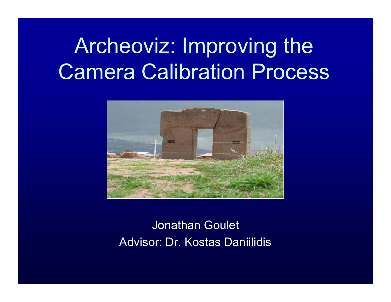# Archeoviz: Improving the Camera Calibration Process



Jonathan Goulet Advisor: Dr. Kostas Daniilidis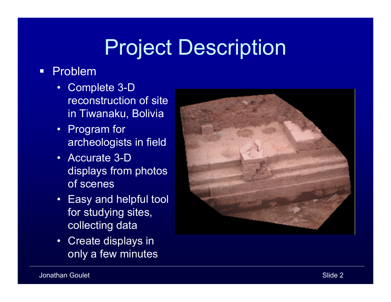# Project Description

#### $\Box$ Problem

- Complete 3-D reconstruction of site in Tiwanaku, Bolivia
- Program for archeologists in field
- Accurate 3-D displays from photos of scenes
- Easy and helpful tool for studying sites, collecting data
- • Create displays in only a few minutes

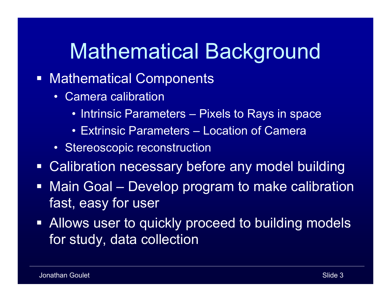#### Mathematical Background

#### ■ Mathematical Components

- Camera calibration
	- Intrinsic Parameters Pixels to Rays in space
	- Extrinsic Parameters Location of Camera
- Stereoscopic reconstruction
- Calibration necessary before any model building
- Main Goal Develop program to make calibration fast, easy for user
- **Allows user to quickly proceed to building models** for study, data collection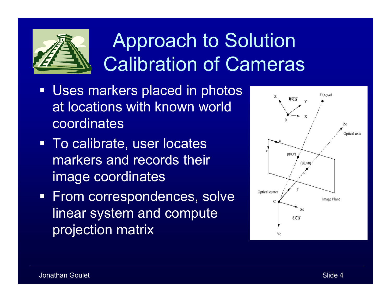

### Approach to Solution Calibration of Cameras

- Uses markers placed in photos at locations with known world coordinates
- **To calibrate, user locates** markers and records their image coordinates
- **From correspondences, solve** linear system and compute projection matrix

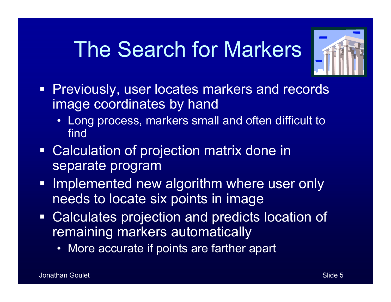# The Search for Markers



- **Previously, user locates markers and records** image coordinates by hand
	- • Long process, markers small and often difficult to find
- Calculation of projection matrix done in separate program
- **IMPLE 11 Implemented new algorithm where user only** needs to locate six points in image
- Calculates projection and predicts location of remaining markers automatically
	- More accurate if points are farther apart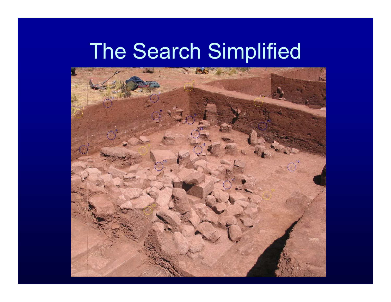#### The Search Simplified

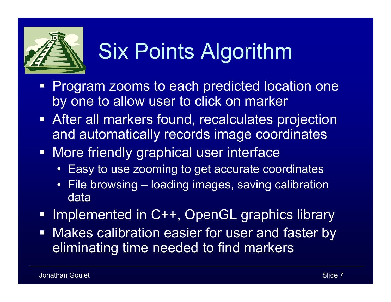

# Six Points Algorithm

- **Program zooms to each predicted location one** by one to allow user to click on marker
- **After all markers found, recalculates projection** and automatically records image coordinates
- **More friendly graphical user interface** 
	- Easy to use zooming to get accurate coordinates
	- File browsing loading images, saving calibration data
- Implemented in C++, OpenGL graphics library
- **Makes calibration easier for user and faster by** eliminating time needed to find markers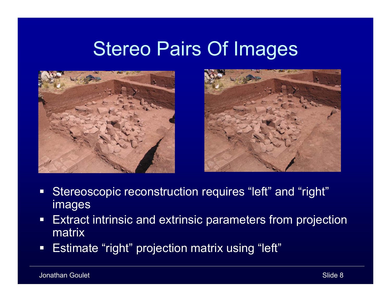#### Stereo Pairs Of Images





- $\Box$  Stereoscopic reconstruction requires "left" and "right" images
- **Extract intrinsic and extrinsic parameters from projection** matrix
- $\Box$ Estimate "right" projection matrix using "left"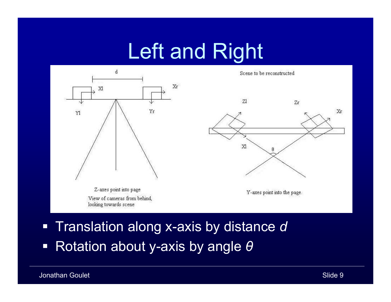### Left and Right



Scene to be reconstructed



Y-axes point into the page.

■ Translation along x-axis by distance *d*  $\Box$ ■ Rotation about y-axis by angle *θ*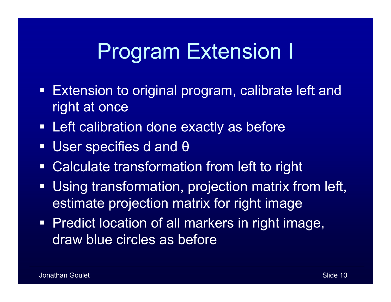## Program Extension I

- **Extension to original program, calibrate left and** right at once
- **Example 1 Left calibration done exactly as before**
- User specifies d and θ
- **Calculate transformation from left to right**
- Using transformation, projection matrix from left, estimate projection matrix for right image
- **Predict location of all markers in right image,** draw blue circles as before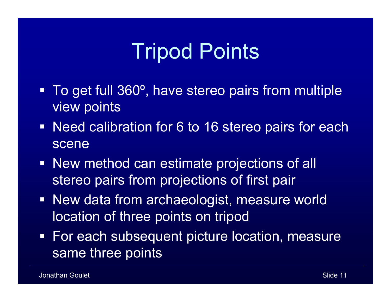# Tripod Points

- To get full 360°, have stereo pairs from multiple view points
- Need calibration for 6 to 16 stereo pairs for each scene
- **New method can estimate projections of all** stereo pairs from projections of first pair
- **New data from archaeologist, measure world** location of three points on tripod
- For each subsequent picture location, measure same three points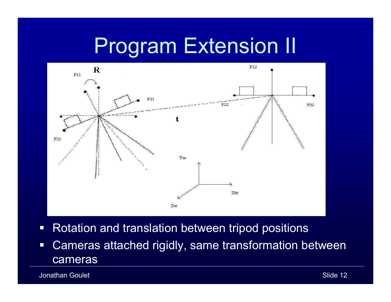#### Program Extension II



- $\Box$ Rotation and translation between tripod positions
- $\Box$  Cameras attached rigidly, same transformation between cameras

Jonathan Goulet